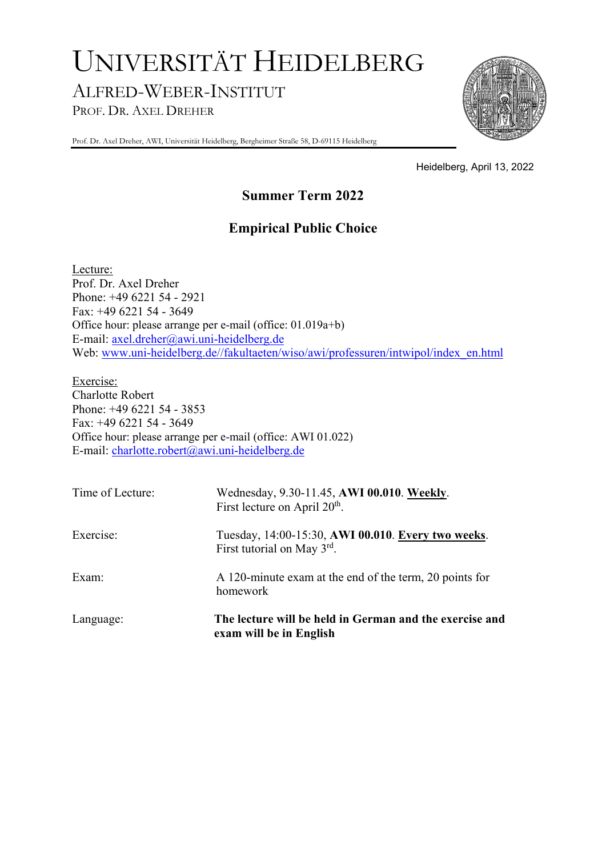# UNIVERSITÄT HEIDELBERG ALFRED-WEBER-INSTITUT PROF. DR. AXEL DREHER



Prof. Dr. Axel Dreher, AWI, Universität Heidelberg, Bergheimer Straße 58, D-69115 Heidelberg

Heidelberg, April 13, 2022

## **Summer Term 2022**

## **Empirical Public Choice**

Lecture: Prof. Dr. Axel Dreher Phone: +49 6221 54 - 2921 Fax: +49 6221 54 - 3649 Office hour: please arrange per e-mail (office: 01.019a+b) E-mail: axel.dreher@awi.uni-heidelberg.de Web: www.uni-heidelberg.de//fakultaeten/wiso/awi/professuren/intwipol/index\_en.html

Exercise: Charlotte Robert Phone: +49 6221 54 - 3853 Fax: +49 6221 54 - 3649 Office hour: please arrange per e-mail (office: AWI 01.022) E-mail: charlotte.robert@awi.uni-heidelberg.de

| Time of Lecture: | Wednesday, 9.30-11.45, AWI 00.010. Weekly.<br>First lecture on April 20 <sup>th</sup> . |
|------------------|-----------------------------------------------------------------------------------------|
| Exercise:        | Tuesday, 14:00-15:30, AWI 00.010. Every two weeks.<br>First tutorial on May 3rd.        |
| Exam:            | A 120-minute exam at the end of the term, 20 points for<br>homework                     |
| Language:        | The lecture will be held in German and the exercise and<br>exam will be in English      |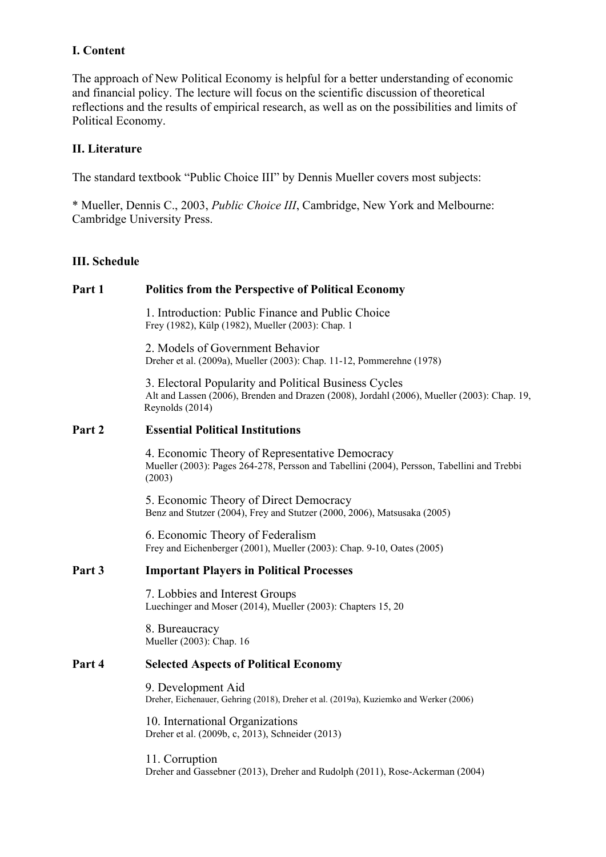### **I. Content**

The approach of New Political Economy is helpful for a better understanding of economic and financial policy. The lecture will focus on the scientific discussion of theoretical reflections and the results of empirical research, as well as on the possibilities and limits of Political Economy.

### **II. Literature**

The standard textbook "Public Choice III" by Dennis Mueller covers most subjects:

\* Mueller, Dennis C., 2003, *Public Choice III*, Cambridge, New York and Melbourne: Cambridge University Press.

#### **III. Schedule**

## **Part 1 Politics from the Perspective of Political Economy**  1. Introduction: Public Finance and Public Choice Frey (1982), Külp (1982), Mueller (2003): Chap. 1 2. Models of Government Behavior Dreher et al. (2009a), Mueller (2003): Chap. 11-12, Pommerehne (1978) 3. Electoral Popularity and Political Business Cycles Alt and Lassen (2006), Brenden and Drazen (2008), Jordahl (2006), Mueller (2003): Chap. 19, Reynolds (2014) **Part 2 Essential Political Institutions**  4. Economic Theory of Representative Democracy Mueller (2003): Pages 264-278, Persson and Tabellini (2004), Persson, Tabellini and Trebbi (2003) 5. Economic Theory of Direct Democracy Benz and Stutzer (2004), Frey and Stutzer (2000, 2006), Matsusaka (2005) 6. Economic Theory of Federalism Frey and Eichenberger (2001), Mueller (2003): Chap. 9-10, Oates (2005) **Part 3 Important Players in Political Processes**  7. Lobbies and Interest Groups Luechinger and Moser (2014), Mueller (2003): Chapters 15, 20 8. Bureaucracy Mueller (2003): Chap. 16 **Part 4 Selected Aspects of Political Economy**  9. Development Aid Dreher, Eichenauer, Gehring (2018), Dreher et al. (2019a), Kuziemko and Werker (2006) 10. International Organizations Dreher et al. (2009b, c, 2013), Schneider (2013) 11. Corruption

Dreher and Gassebner (2013), Dreher and Rudolph (2011), Rose-Ackerman (2004)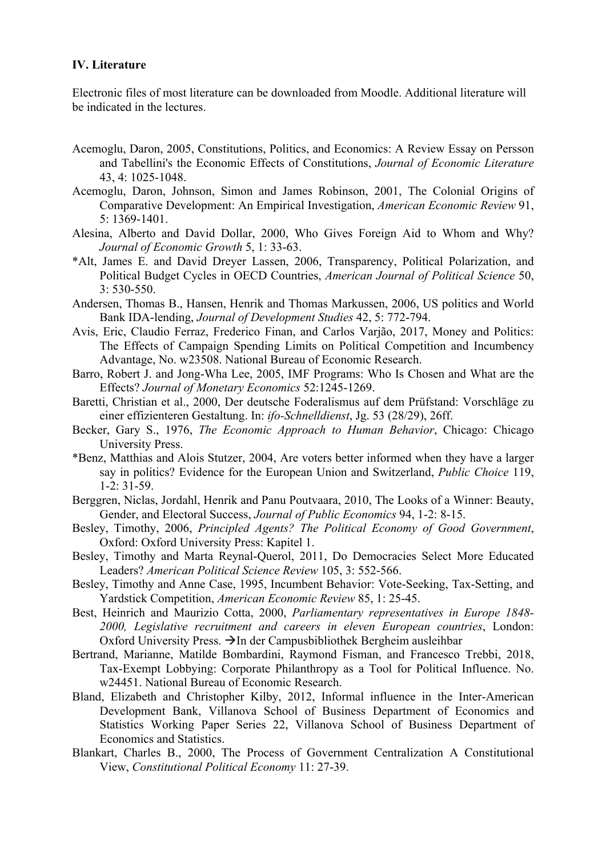#### **IV. Literature**

Electronic files of most literature can be downloaded from Moodle. Additional literature will be indicated in the lectures.

- Acemoglu, Daron, 2005, Constitutions, Politics, and Economics: A Review Essay on Persson and Tabellini's the Economic Effects of Constitutions, *Journal of Economic Literature* 43, 4: 1025-1048.
- Acemoglu, Daron, Johnson, Simon and James Robinson, 2001, The Colonial Origins of Comparative Development: An Empirical Investigation, *American Economic Review* 91, 5: 1369-1401.
- Alesina, Alberto and David Dollar, 2000, Who Gives Foreign Aid to Whom and Why? *Journal of Economic Growth* 5, 1: 33-63.
- \*Alt, James E. and David Dreyer Lassen, 2006, Transparency, Political Polarization, and Political Budget Cycles in OECD Countries, *American Journal of Political Science* 50, 3: 530-550.
- Andersen, Thomas B., Hansen, Henrik and Thomas Markussen, 2006, US politics and World Bank IDA-lending, *Journal of Development Studies* 42, 5: 772-794.
- Avis, Eric, Claudio Ferraz, Frederico Finan, and Carlos Varjão, 2017, Money and Politics: The Effects of Campaign Spending Limits on Political Competition and Incumbency Advantage, No. w23508. National Bureau of Economic Research.
- Barro, Robert J. and Jong-Wha Lee, 2005, IMF Programs: Who Is Chosen and What are the Effects? *Journal of Monetary Economics* 52:1245-1269.
- Baretti, Christian et al., 2000, Der deutsche Foderalismus auf dem Prüfstand: Vorschläge zu einer effizienteren Gestaltung. In: *ifo-Schnelldienst*, Jg. 53 (28/29), 26ff.
- Becker, Gary S., 1976, *The Economic Approach to Human Behavior*, Chicago: Chicago University Press.
- \*Benz, Matthias and Alois Stutzer, 2004, Are voters better informed when they have a larger say in politics? Evidence for the European Union and Switzerland, *Public Choice* 119, 1-2: 31-59.
- Berggren, Niclas, Jordahl, Henrik and Panu Poutvaara, 2010, The Looks of a Winner: Beauty, Gender, and Electoral Success, *Journal of Public Economics* 94, 1-2: 8-15.
- Besley, Timothy, 2006, *Principled Agents? The Political Economy of Good Government*, Oxford: Oxford University Press: Kapitel 1.
- Besley, Timothy and Marta Reynal-Querol, 2011, Do Democracies Select More Educated Leaders? *American Political Science Review* 105, 3: 552-566.
- Besley, Timothy and Anne Case, 1995, Incumbent Behavior: Vote-Seeking, Tax-Setting, and Yardstick Competition, *American Economic Review* 85, 1: 25-45.
- Best, Heinrich and Maurizio Cotta, 2000, *Parliamentary representatives in Europe 1848- 2000, Legislative recruitment and careers in eleven European countries*, London: Oxford University Press.  $\rightarrow$  In der Campusbibliothek Bergheim ausleihbar
- Bertrand, Marianne, Matilde Bombardini, Raymond Fisman, and Francesco Trebbi, 2018, Tax-Exempt Lobbying: Corporate Philanthropy as a Tool for Political Influence. No. w24451. National Bureau of Economic Research.
- Bland, Elizabeth and Christopher Kilby, 2012, Informal influence in the Inter-American Development Bank, Villanova School of Business Department of Economics and Statistics Working Paper Series 22, Villanova School of Business Department of Economics and Statistics.
- Blankart, Charles B., 2000, The Process of Government Centralization A Constitutional View, *Constitutional Political Economy* 11: 27-39.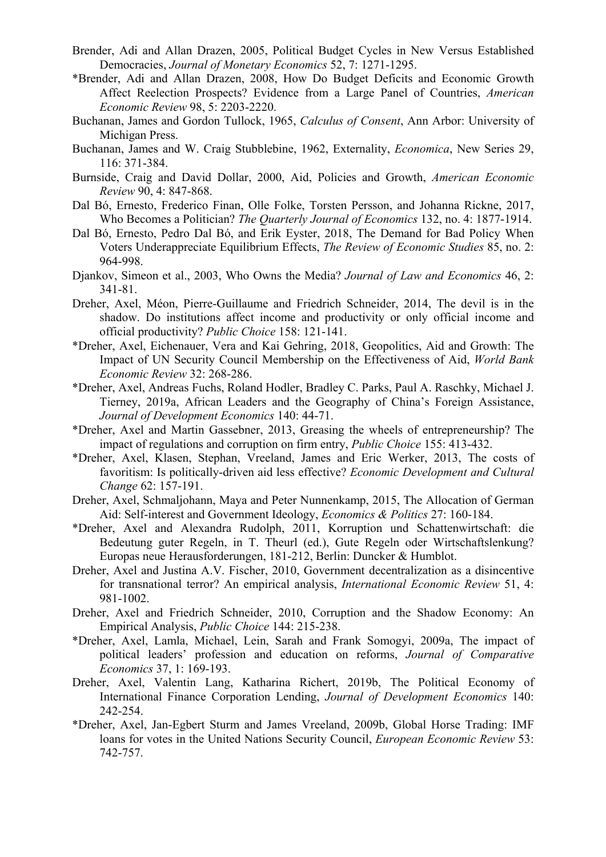- Brender, Adi and Allan Drazen, 2005, Political Budget Cycles in New Versus Established Democracies, *Journal of Monetary Economics* 52, 7: 1271-1295.
- \*Brender, Adi and Allan Drazen, 2008, How Do Budget Deficits and Economic Growth Affect Reelection Prospects? Evidence from a Large Panel of Countries, *American Economic Review* 98, 5: 2203-2220.
- Buchanan, James and Gordon Tullock, 1965, *Calculus of Consent*, Ann Arbor: University of Michigan Press.
- Buchanan, James and W. Craig Stubblebine, 1962, Externality, *Economica*, New Series 29, 116: 371-384.
- Burnside, Craig and David Dollar, 2000, Aid, Policies and Growth, *American Economic Review* 90, 4: 847-868.
- Dal Bó, Ernesto, Frederico Finan, Olle Folke, Torsten Persson, and Johanna Rickne, 2017, Who Becomes a Politician? *The Quarterly Journal of Economics* 132, no. 4: 1877-1914.
- Dal Bó, Ernesto, Pedro Dal Bó, and Erik Eyster, 2018, The Demand for Bad Policy When Voters Underappreciate Equilibrium Effects, *The Review of Economic Studies* 85, no. 2: 964-998.
- Djankov, Simeon et al., 2003, Who Owns the Media? *Journal of Law and Economics* 46, 2: 341-81.
- Dreher, Axel, Méon, Pierre-Guillaume and Friedrich Schneider, 2014, The devil is in the shadow. Do institutions affect income and productivity or only official income and official productivity? *Public Choice* 158: 121-141.
- \*Dreher, Axel, Eichenauer, Vera and Kai Gehring, 2018, Geopolitics, Aid and Growth: The Impact of UN Security Council Membership on the Effectiveness of Aid, *World Bank Economic Review* 32: 268-286.
- \*Dreher, Axel, Andreas Fuchs, Roland Hodler, Bradley C. Parks, Paul A. Raschky, Michael J. Tierney, 2019a, African Leaders and the Geography of China's Foreign Assistance, *Journal of Development Economics* 140: 44-71.
- \*Dreher, Axel and Martin Gassebner, 2013, Greasing the wheels of entrepreneurship? The impact of regulations and corruption on firm entry, *Public Choice* 155: 413-432.
- \*Dreher, Axel, Klasen, Stephan, Vreeland, James and Eric Werker, 2013, The costs of favoritism: Is politically-driven aid less effective? *Economic Development and Cultural Change* 62: 157-191.
- Dreher, Axel, Schmaljohann, Maya and Peter Nunnenkamp, 2015, The Allocation of German Aid: Self-interest and Government Ideology, *Economics & Politics* 27: 160-184.
- \*Dreher, Axel and Alexandra Rudolph, 2011, Korruption und Schattenwirtschaft: die Bedeutung guter Regeln, in T. Theurl (ed.), Gute Regeln oder Wirtschaftslenkung? Europas neue Herausforderungen, 181-212, Berlin: Duncker & Humblot.
- Dreher, Axel and Justina A.V. Fischer, 2010, Government decentralization as a disincentive for transnational terror? An empirical analysis, *International Economic Review* 51, 4: 981-1002.
- Dreher, Axel and Friedrich Schneider, 2010, Corruption and the Shadow Economy: An Empirical Analysis, *Public Choice* 144: 215-238.
- \*Dreher, Axel, Lamla, Michael, Lein, Sarah and Frank Somogyi, 2009a, The impact of political leaders' profession and education on reforms, *Journal of Comparative Economics* 37, 1: 169-193.
- Dreher, Axel, Valentin Lang, Katharina Richert, 2019b, The Political Economy of International Finance Corporation Lending, *Journal of Development Economics* 140: 242-254.
- \*Dreher, Axel, Jan-Egbert Sturm and James Vreeland, 2009b, Global Horse Trading: IMF loans for votes in the United Nations Security Council, *European Economic Review* 53: 742-757.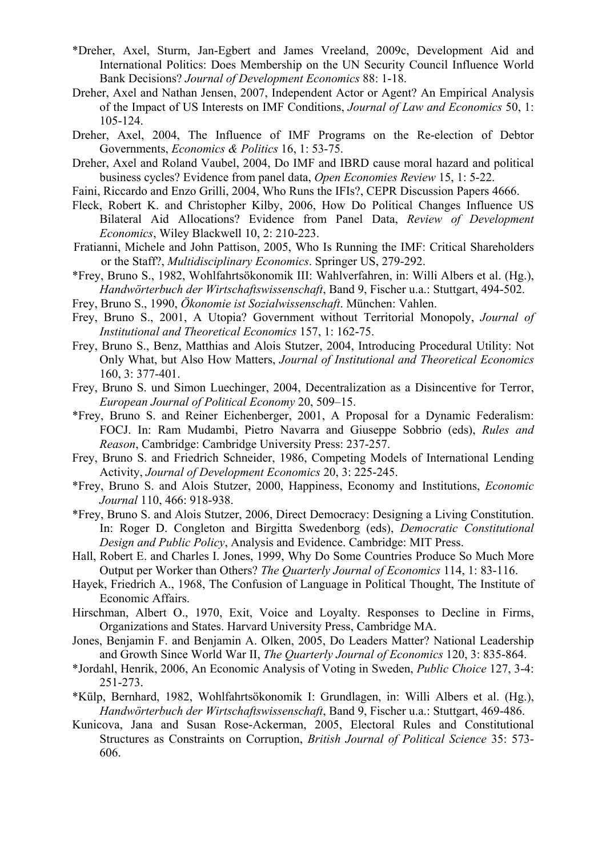- \*Dreher, Axel, Sturm, Jan-Egbert and James Vreeland, 2009c, Development Aid and International Politics: Does Membership on the UN Security Council Influence World Bank Decisions? *Journal of Development Economics* 88: 1-18.
- Dreher, Axel and Nathan Jensen, 2007, Independent Actor or Agent? An Empirical Analysis of the Impact of US Interests on IMF Conditions, *Journal of Law and Economics* 50, 1: 105-124.
- Dreher, Axel, 2004, The Influence of IMF Programs on the Re-election of Debtor Governments, *Economics & Politics* 16, 1: 53-75.
- Dreher, Axel and Roland Vaubel, 2004, Do IMF and IBRD cause moral hazard and political business cycles? Evidence from panel data, *Open Economies Review* 15, 1: 5-22.
- Faini, Riccardo and Enzo Grilli, 2004, Who Runs the IFIs?, CEPR Discussion Papers 4666.
- Fleck, Robert K. and Christopher Kilby, 2006, How Do Political Changes Influence US Bilateral Aid Allocations? Evidence from Panel Data, *Review of Development Economics*, Wiley Blackwell 10, 2: 210-223.
- Fratianni, Michele and John Pattison, 2005, Who Is Running the IMF: Critical Shareholders or the Staff?, *Multidisciplinary Economics*. Springer US, 279-292.
- \*Frey, Bruno S., 1982, Wohlfahrtsökonomik III: Wahlverfahren, in: Willi Albers et al. (Hg.), *Handwörterbuch der Wirtschaftswissenschaft*, Band 9, Fischer u.a.: Stuttgart, 494-502.
- Frey, Bruno S., 1990, *Ökonomie ist Sozialwissenschaft*. München: Vahlen.
- Frey, Bruno S., 2001, A Utopia? Government without Territorial Monopoly, *Journal of Institutional and Theoretical Economics* 157, 1: 162-75.
- Frey, Bruno S., Benz, Matthias and Alois Stutzer, 2004, Introducing Procedural Utility: Not Only What, but Also How Matters, *Journal of Institutional and Theoretical Economics* 160, 3: 377-401.
- Frey, Bruno S. und Simon Luechinger, 2004, Decentralization as a Disincentive for Terror, *European Journal of Political Economy* 20, 509–15.
- \*Frey, Bruno S. and Reiner Eichenberger, 2001, A Proposal for a Dynamic Federalism: FOCJ. In: Ram Mudambi, Pietro Navarra and Giuseppe Sobbrio (eds), *Rules and Reason*, Cambridge: Cambridge University Press: 237-257.
- Frey, Bruno S. and Friedrich Schneider, 1986, Competing Models of International Lending Activity, *Journal of Development Economics* 20, 3: 225-245.
- \*Frey, Bruno S. and Alois Stutzer, 2000, Happiness, Economy and Institutions, *Economic Journal* 110, 466: 918-938.
- \*Frey, Bruno S. and Alois Stutzer, 2006, Direct Democracy: Designing a Living Constitution. In: Roger D. Congleton and Birgitta Swedenborg (eds), *Democratic Constitutional Design and Public Policy*, Analysis and Evidence. Cambridge: MIT Press.
- Hall, Robert E. and Charles I. Jones, 1999, Why Do Some Countries Produce So Much More Output per Worker than Others? *The Quarterly Journal of Economics* 114, 1: 83-116.
- Hayek, Friedrich A., 1968, The Confusion of Language in Political Thought, The Institute of Economic Affairs.
- Hirschman, Albert O., 1970, Exit, Voice and Loyalty. Responses to Decline in Firms, Organizations and States. Harvard University Press, Cambridge MA.
- Jones, Benjamin F. and Benjamin A. Olken, 2005, Do Leaders Matter? National Leadership and Growth Since World War II, *The Quarterly Journal of Economics* 120, 3: 835-864.
- \*Jordahl, Henrik, 2006, An Economic Analysis of Voting in Sweden, *Public Choice* 127, 3-4: 251-273.
- \*Külp, Bernhard, 1982, Wohlfahrtsökonomik I: Grundlagen, in: Willi Albers et al. (Hg.), *Handwörterbuch der Wirtschaftswissenschaft*, Band 9, Fischer u.a.: Stuttgart, 469-486.
- Kunicova, Jana and Susan Rose-Ackerman, 2005, Electoral Rules and Constitutional Structures as Constraints on Corruption, *British Journal of Political Science* 35: 573- 606.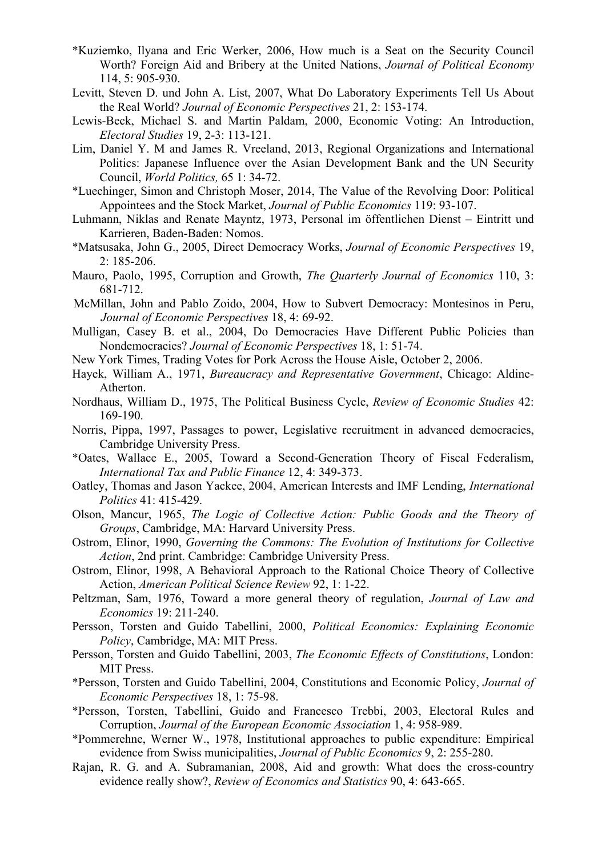- \*Kuziemko, Ilyana and Eric Werker, 2006, How much is a Seat on the Security Council Worth? Foreign Aid and Bribery at the United Nations, *Journal of Political Economy* 114, 5: 905-930.
- Levitt, Steven D. und John A. List, 2007, What Do Laboratory Experiments Tell Us About the Real World? *Journal of Economic Perspectives* 21, 2: 153-174.
- Lewis-Beck, Michael S. and Martin Paldam, 2000, Economic Voting: An Introduction, *Electoral Studies* 19, 2-3: 113-121.
- Lim, Daniel Y. M and James R. Vreeland, 2013, Regional Organizations and International Politics: Japanese Influence over the Asian Development Bank and the UN Security Council, *World Politics,* 65 1: 34-72.
- \*Luechinger, Simon and Christoph Moser, 2014, The Value of the Revolving Door: Political Appointees and the Stock Market, *Journal of Public Economics* 119: 93-107.
- Luhmann, Niklas and Renate Mayntz, 1973, Personal im öffentlichen Dienst Eintritt und Karrieren, Baden-Baden: Nomos.
- \*Matsusaka, John G., 2005, Direct Democracy Works, *Journal of Economic Perspectives* 19, 2: 185-206.
- Mauro, Paolo, 1995, Corruption and Growth, *The Quarterly Journal of Economics* 110, 3: 681-712.
- McMillan, John and Pablo Zoido, 2004, How to Subvert Democracy: Montesinos in Peru, *Journal of Economic Perspectives* 18, 4: 69-92.
- Mulligan, Casey B. et al., 2004, Do Democracies Have Different Public Policies than Nondemocracies? *Journal of Economic Perspectives* 18, 1: 51-74.
- New York Times, Trading Votes for Pork Across the House Aisle, October 2, 2006.
- Hayek, William A., 1971, *Bureaucracy and Representative Government*, Chicago: Aldine-Atherton.
- Nordhaus, William D., 1975, The Political Business Cycle, *Review of Economic Studies* 42: 169-190.
- Norris, Pippa, 1997, Passages to power, Legislative recruitment in advanced democracies, Cambridge University Press.
- \*Oates, Wallace E., 2005, Toward a Second-Generation Theory of Fiscal Federalism, *International Tax and Public Finance* 12, 4: 349-373.
- Oatley, Thomas and Jason Yackee, 2004, American Interests and IMF Lending, *International Politics* 41: 415-429.
- Olson, Mancur, 1965, *The Logic of Collective Action: Public Goods and the Theory of Groups*, Cambridge, MA: Harvard University Press.
- Ostrom, Elinor, 1990, *Governing the Commons: The Evolution of Institutions for Collective Action*, 2nd print. Cambridge: Cambridge University Press.
- Ostrom, Elinor, 1998, A Behavioral Approach to the Rational Choice Theory of Collective Action, *American Political Science Review* 92, 1: 1-22.
- Peltzman, Sam, 1976, Toward a more general theory of regulation, *Journal of Law and Economics* 19: 211-240.
- Persson, Torsten and Guido Tabellini, 2000, *Political Economics: Explaining Economic Policy*, Cambridge, MA: MIT Press.
- Persson, Torsten and Guido Tabellini, 2003, *The Economic Effects of Constitutions*, London: MIT Press.
- \*Persson, Torsten and Guido Tabellini, 2004, Constitutions and Economic Policy, *Journal of Economic Perspectives* 18, 1: 75-98.
- \*Persson, Torsten, Tabellini, Guido and Francesco Trebbi, 2003, Electoral Rules and Corruption, *Journal of the European Economic Association* 1, 4: 958-989.
- \*Pommerehne, Werner W., 1978, Institutional approaches to public expenditure: Empirical evidence from Swiss municipalities, *Journal of Public Economics* 9, 2: 255-280.
- Rajan, R. G. and A. Subramanian, 2008, Aid and growth: What does the cross-country evidence really show?, *Review of Economics and Statistics* 90, 4: 643-665.